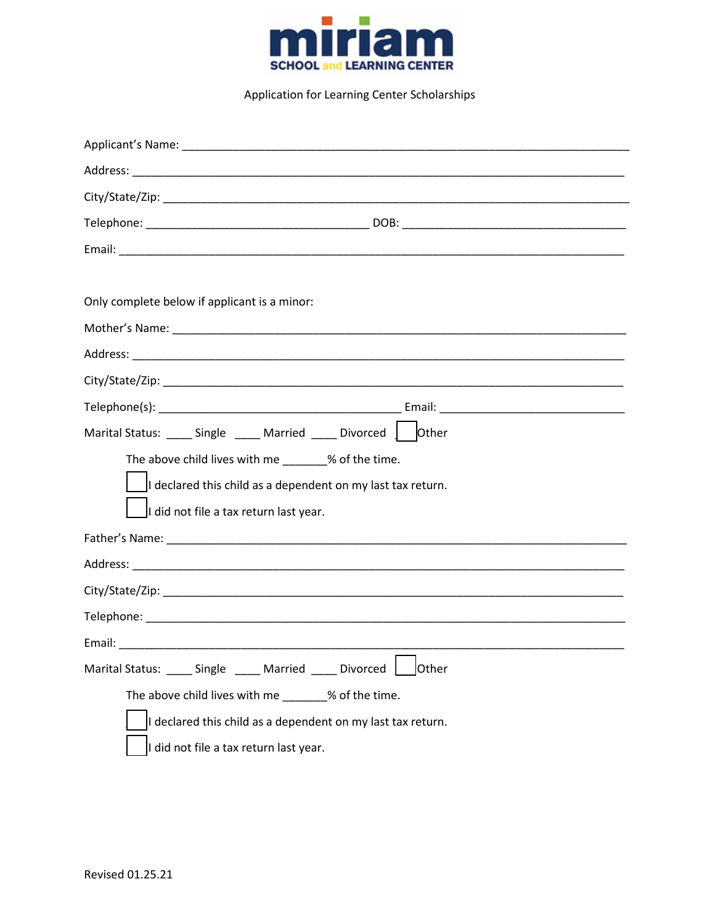

Application for Learning Center Scholarships

| Only complete below if applicant is a minor:                    |
|-----------------------------------------------------------------|
|                                                                 |
|                                                                 |
|                                                                 |
|                                                                 |
|                                                                 |
| The above child lives with me _______% of the time.             |
| I declared this child as a dependent on my last tax return.     |
| I did not file a tax return last year.                          |
|                                                                 |
|                                                                 |
|                                                                 |
|                                                                 |
| $\overline{\phantom{0}}$                                        |
| Marital Status: ____ Single ____ Married ____ Divorced<br>Other |
| The above child lives with me _______% of the time.             |
| I declared this child as a dependent on my last tax return.     |
| I did not file a tax return last year.                          |